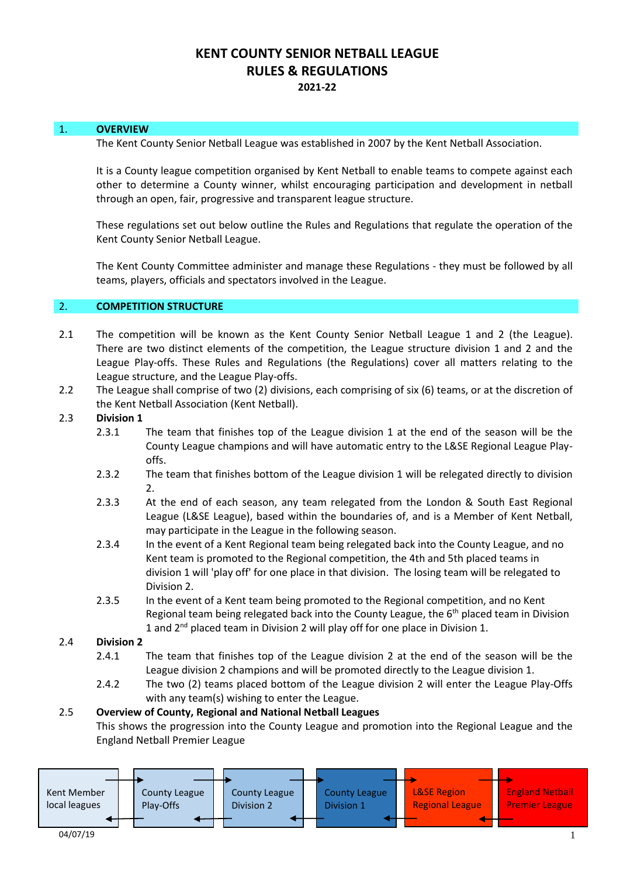# **KENT COUNTY SENIOR NETBALL LEAGUE RULES & REGULATIONS 2021-22**

#### 1. **OVERVIEW**

The Kent County Senior Netball League was established in 2007 by the Kent Netball Association.

It is a County league competition organised by Kent Netball to enable teams to compete against each other to determine a County winner, whilst encouraging participation and development in netball through an open, fair, progressive and transparent league structure.

These regulations set out below outline the Rules and Regulations that regulate the operation of the Kent County Senior Netball League.

The Kent County Committee administer and manage these Regulations - they must be followed by all teams, players, officials and spectators involved in the League.

#### 2. **COMPETITION STRUCTURE**

- 2.1 The competition will be known as the Kent County Senior Netball League 1 and 2 (the League). There are two distinct elements of the competition, the League structure division 1 and 2 and the League Play-offs. These Rules and Regulations (the Regulations) cover all matters relating to the League structure, and the League Play-offs.
- 2.2 The League shall comprise of two (2) divisions, each comprising of six (6) teams, or at the discretion of the Kent Netball Association (Kent Netball).
- 2.3 **Division 1**
	- 2.3.1 The team that finishes top of the League division 1 at the end of the season will be the County League champions and will have automatic entry to the L&SE Regional League Playoffs.
	- 2.3.2 The team that finishes bottom of the League division 1 will be relegated directly to division 2.
	- 2.3.3 At the end of each season, any team relegated from the London & South East Regional League (L&SE League), based within the boundaries of, and is a Member of Kent Netball, may participate in the League in the following season.
	- 2.3.4 In the event of a Kent Regional team being relegated back into the County League, and no Kent team is promoted to the Regional competition, the 4th and 5th placed teams in division 1 will 'play off' for one place in that division. The losing team will be relegated to Division 2.
	- 2.3.5 In the event of a Kent team being promoted to the Regional competition, and no Kent Regional team being relegated back into the County League, the  $6<sup>th</sup>$  placed team in Division 1 and 2<sup>nd</sup> placed team in Division 2 will play off for one place in Division 1.

#### 2.4 **Division 2**

- 2.4.1 The team that finishes top of the League division 2 at the end of the season will be the League division 2 champions and will be promoted directly to the League division 1.
- 2.4.2 The two (2) teams placed bottom of the League division 2 will enter the League Play-Offs with any team(s) wishing to enter the League.

#### 2.5 **Overview of County, Regional and National Netball Leagues**

This shows the progression into the County League and promotion into the Regional League and the England Netball Premier League

| Kent Member<br>local leagues | County League<br>Play-Offs | County League<br>Division 2 | <b>County League</b><br>Division 1 | <b>L&amp;SE Region</b><br><b>Regional League</b> | <b>England Netball</b><br><b>Premier League</b> |
|------------------------------|----------------------------|-----------------------------|------------------------------------|--------------------------------------------------|-------------------------------------------------|
| 04/07/19                     |                            |                             |                                    |                                                  |                                                 |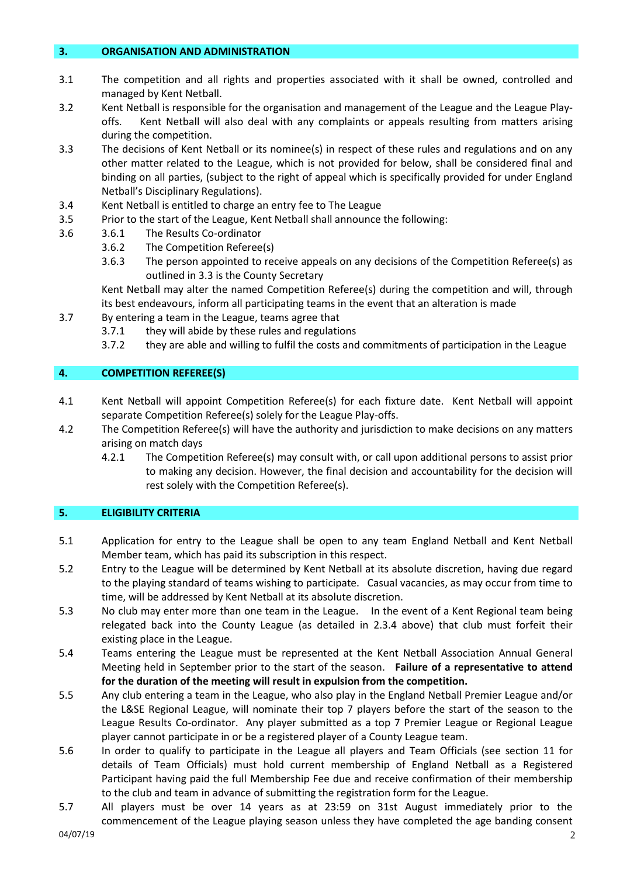#### **3. ORGANISATION AND ADMINISTRATION**

- 3.1 The competition and all rights and properties associated with it shall be owned, controlled and managed by Kent Netball.
- 3.2 Kent Netball is responsible for the organisation and management of the League and the League Playoffs. Kent Netball will also deal with any complaints or appeals resulting from matters arising during the competition.
- 3.3 The decisions of Kent Netball or its nominee(s) in respect of these rules and regulations and on any other matter related to the League, which is not provided for below, shall be considered final and binding on all parties, (subject to the right of appeal which is specifically provided for under England Netball's Disciplinary Regulations).
- 3.4 Kent Netball is entitled to charge an entry fee to The League
- 3.5 Prior to the start of the League, Kent Netball shall announce the following:
- 3.6 3.6.1 The Results Co-ordinator
	- 3.6.2 The Competition Referee(s)
		- 3.6.3 The person appointed to receive appeals on any decisions of the Competition Referee(s) as outlined in 3.3 is the County Secretary

Kent Netball may alter the named Competition Referee(s) during the competition and will, through its best endeavours, inform all participating teams in the event that an alteration is made

- 3.7 By entering a team in the League, teams agree that
	- 3.7.1 they will abide by these rules and regulations
	- 3.7.2 they are able and willing to fulfil the costs and commitments of participation in the League

### **4. COMPETITION REFEREE(S)**

- 4.1 Kent Netball will appoint Competition Referee(s) for each fixture date. Kent Netball will appoint separate Competition Referee(s) solely for the League Play-offs.
- 4.2 The Competition Referee(s) will have the authority and jurisdiction to make decisions on any matters arising on match days
	- 4.2.1 The Competition Referee(s) may consult with, or call upon additional persons to assist prior to making any decision. However, the final decision and accountability for the decision will rest solely with the Competition Referee(s).

### **5. ELIGIBILITY CRITERIA**

- 5.1 Application for entry to the League shall be open to any team England Netball and Kent Netball Member team, which has paid its subscription in this respect.
- 5.2 Entry to the League will be determined by Kent Netball at its absolute discretion, having due regard to the playing standard of teams wishing to participate. Casual vacancies, as may occur from time to time, will be addressed by Kent Netball at its absolute discretion.
- 5.3 No club may enter more than one team in the League. In the event of a Kent Regional team being relegated back into the County League (as detailed in 2.3.4 above) that club must forfeit their existing place in the League.
- 5.4 Teams entering the League must be represented at the Kent Netball Association Annual General Meeting held in September prior to the start of the season. **Failure of a representative to attend for the duration of the meeting will result in expulsion from the competition.**
- 5.5 Any club entering a team in the League, who also play in the England Netball Premier League and/or the L&SE Regional League, will nominate their top 7 players before the start of the season to the League Results Co-ordinator. Any player submitted as a top 7 Premier League or Regional League player cannot participate in or be a registered player of a County League team.
- 5.6 In order to qualify to participate in the League all players and Team Officials (see section 11 for details of Team Officials) must hold current membership of England Netball as a Registered Participant having paid the full Membership Fee due and receive confirmation of their membership to the club and team in advance of submitting the registration form for the League.
- 5.7 All players must be over 14 years as at 23:59 on 31st August immediately prior to the commencement of the League playing season unless they have completed the age banding consent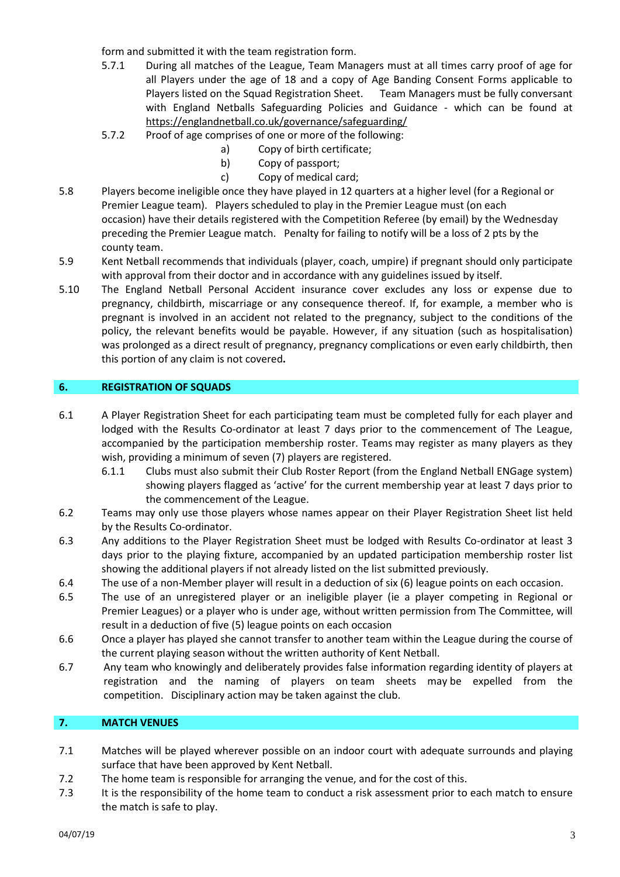form and submitted it with the team registration form.

- 5.7.1 During all matches of the League, Team Managers must at all times carry proof of age for all Players under the age of 18 and a copy of Age Banding Consent Forms applicable to Players listed on the Squad Registration Sheet. Team Managers must be fully conversant with England Netballs Safeguarding Policies and Guidance - which can be found at <https://englandnetball.co.uk/governance/safeguarding/>
- 5.7.2 Proof of age comprises of one or more of the following:
	- a) Copy of birth certificate;
	- b) Copy of passport;
	- c) Copy of medical card;
- 5.8 Players become ineligible once they have played in 12 quarters at a higher level (for a Regional or Premier League team). Players scheduled to play in the Premier League must (on each occasion) have their details registered with the Competition Referee (by email) by the Wednesday preceding the Premier League match. Penalty for failing to notify will be a loss of 2 pts by the county team.
- 5.9 Kent Netball recommends that individuals (player, coach, umpire) if pregnant should only participate with approval from their doctor and in accordance with any guidelines issued by itself.
- 5.10 The England Netball Personal Accident insurance cover excludes any loss or expense due to pregnancy, childbirth, miscarriage or any consequence thereof. If, for example, a member who is pregnant is involved in an accident not related to the pregnancy, subject to the conditions of the policy, the relevant benefits would be payable. However, if any situation (such as hospitalisation) was prolonged as a direct result of pregnancy, pregnancy complications or even early childbirth, then this portion of any claim is not covered**.**

### **6. REGISTRATION OF SQUADS**

- 6.1 A Player Registration Sheet for each participating team must be completed fully for each player and lodged with the Results Co-ordinator at least 7 days prior to the commencement of The League, accompanied by the participation membership roster. Teams may register as many players as they wish, providing a minimum of seven (7) players are registered.
	- 6.1.1 Clubs must also submit their Club Roster Report (from the England Netball ENGage system) showing players flagged as 'active' for the current membership year at least 7 days prior to the commencement of the League.
- 6.2 Teams may only use those players whose names appear on their Player Registration Sheet list held by the Results Co-ordinator.
- 6.3 Any additions to the Player Registration Sheet must be lodged with Results Co-ordinator at least 3 days prior to the playing fixture, accompanied by an updated participation membership roster list showing the additional players if not already listed on the list submitted previously.
- 6.4 The use of a non-Member player will result in a deduction of six (6) league points on each occasion.
- 6.5 The use of an unregistered player or an ineligible player (ie a player competing in Regional or Premier Leagues) or a player who is under age, without written permission from The Committee, will result in a deduction of five (5) league points on each occasion
- 6.6 Once a player has played she cannot transfer to another team within the League during the course of the current playing season without the written authority of Kent Netball.
- 6.7 Any team who knowingly and deliberately provides false information regarding identity of players at registration and the naming of players on team sheets may be expelled from the competition. Disciplinary action may be taken against the club.

## **7. MATCH VENUES**

- 7.1 Matches will be played wherever possible on an indoor court with adequate surrounds and playing surface that have been approved by Kent Netball.
- 7.2 The home team is responsible for arranging the venue, and for the cost of this.
- 7.3 It is the responsibility of the home team to conduct a risk assessment prior to each match to ensure the match is safe to play.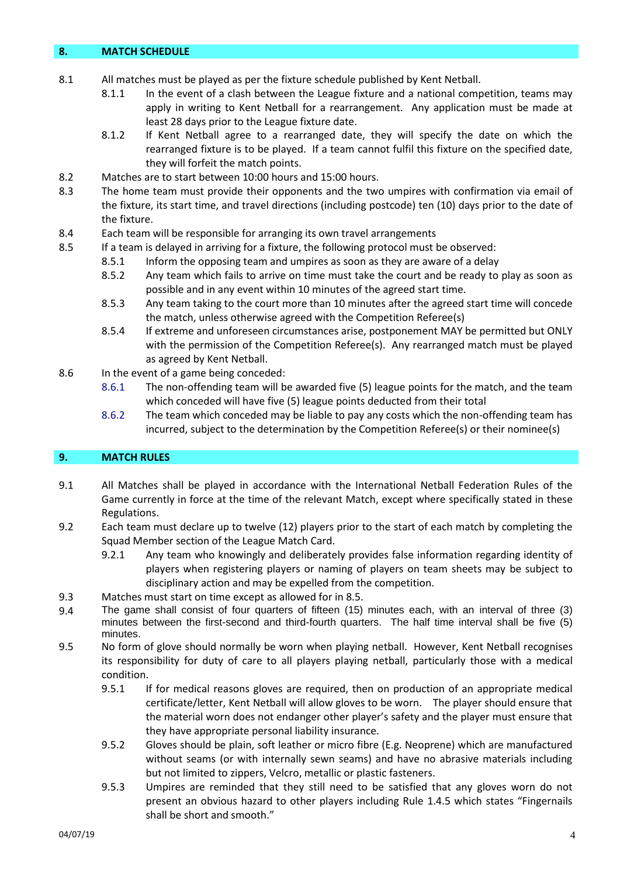#### **8. MATCH SCHEDULE**

- 8.1 All matches must be played as per the fixture schedule published by Kent Netball.
	- 8.1.1 In the event of a clash between the League fixture and a national competition, teams may apply in writing to Kent Netball for a rearrangement. Any application must be made at least 28 days prior to the League fixture date.
	- 8.1.2 If Kent Netball agree to a rearranged date, they will specify the date on which the rearranged fixture is to be played. If a team cannot fulfil this fixture on the specified date, they will forfeit the match points.
- 8.2 Matches are to start between 10:00 hours and 15:00 hours.
- 8.3 The home team must provide their opponents and the two umpires with confirmation via email of the fixture, its start time, and travel directions (including postcode) ten (10) days prior to the date of the fixture.
- 8.4 Each team will be responsible for arranging its own travel arrangements
- 8.5 If a team is delayed in arriving for a fixture, the following protocol must be observed:
	- 8.5.1 Inform the opposing team and umpires as soon as they are aware of a delay
	- 8.5.2 Any team which fails to arrive on time must take the court and be ready to play as soon as possible and in any event within 10 minutes of the agreed start time.
	- 8.5.3 Any team taking to the court more than 10 minutes after the agreed start time will concede the match, unless otherwise agreed with the Competition Referee(s)
	- 8.5.4 If extreme and unforeseen circumstances arise, postponement MAY be permitted but ONLY with the permission of the Competition Referee(s). Any rearranged match must be played as agreed by Kent Netball.
- 8.6 In the event of a game being conceded:
	- 8.6.1 The non-offending team will be awarded five (5) league points for the match, and the team which conceded will have five (5) league points deducted from their total
	- 8.6.2 The team which conceded may be liable to pay any costs which the non-offending team has incurred, subject to the determination by the Competition Referee(s) or their nominee(s)

## **9. MATCH RULES**

- 9.1 All Matches shall be played in accordance with the International Netball Federation Rules of the Game currently in force at the time of the relevant Match, except where specifically stated in these Regulations.
- 9.2 Each team must declare up to twelve (12) players prior to the start of each match by completing the Squad Member section of the League Match Card.
	- 9.2.1 Any team who knowingly and deliberately provides false information regarding identity of players when registering players or naming of players on team sheets may be subject to disciplinary action and may be expelled from the competition.
- 9.3 Matches must start on time except as allowed for in 8.5.
- 9.4 The game shall consist of four quarters of fifteen (15) minutes each, with an interval of three (3) minutes between the first-second and third-fourth quarters. The half time interval shall be five (5) minutes.
- 9.5 No form of glove should normally be worn when playing netball. However, Kent Netball recognises its responsibility for duty of care to all players playing netball, particularly those with a medical condition.
	- 9.5.1 If for medical reasons gloves are required, then on production of an appropriate medical certificate/letter, Kent Netball will allow gloves to be worn. The player should ensure that the material worn does not endanger other player's safety and the player must ensure that they have appropriate personal liability insurance.
	- 9.5.2 Gloves should be plain, soft leather or micro fibre (E.g. Neoprene) which are manufactured without seams (or with internally sewn seams) and have no abrasive materials including but not limited to zippers, Velcro, metallic or plastic fasteners.
	- 9.5.3 Umpires are reminded that they still need to be satisfied that any gloves worn do not present an obvious hazard to other players including Rule 1.4.5 which states "Fingernails shall be short and smooth."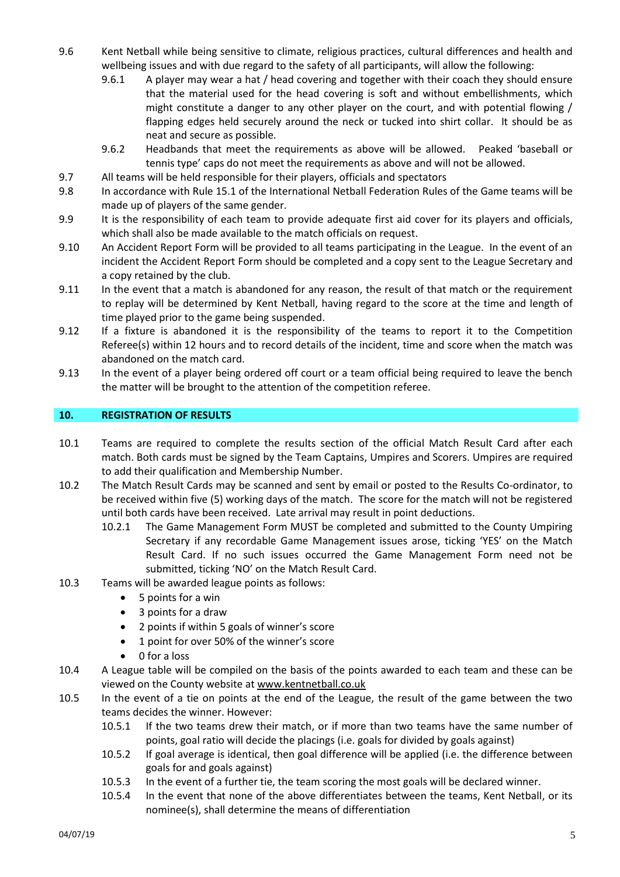- 9.6 Kent Netball while being sensitive to climate, religious practices, cultural differences and health and wellbeing issues and with due regard to the safety of all participants, will allow the following:
	- 9.6.1 A player may wear a hat / head covering and together with their coach they should ensure that the material used for the head covering is soft and without embellishments, which might constitute a danger to any other player on the court, and with potential flowing / flapping edges held securely around the neck or tucked into shirt collar. It should be as neat and secure as possible.
	- 9.6.2 Headbands that meet the requirements as above will be allowed. Peaked 'baseball or tennis type' caps do not meet the requirements as above and will not be allowed.
- 9.7 All teams will be held responsible for their players, officials and spectators
- 9.8 In accordance with Rule 15.1 of the International Netball Federation Rules of the Game teams will be made up of players of the same gender.
- 9.9 It is the responsibility of each team to provide adequate first aid cover for its players and officials, which shall also be made available to the match officials on request.
- 9.10 An Accident Report Form will be provided to all teams participating in the League. In the event of an incident the Accident Report Form should be completed and a copy sent to the League Secretary and a copy retained by the club.
- 9.11 In the event that a match is abandoned for any reason, the result of that match or the requirement to replay will be determined by Kent Netball, having regard to the score at the time and length of time played prior to the game being suspended.
- 9.12 If a fixture is abandoned it is the responsibility of the teams to report it to the Competition Referee(s) within 12 hours and to record details of the incident, time and score when the match was abandoned on the match card.
- 9.13 In the event of a player being ordered off court or a team official being required to leave the bench the matter will be brought to the attention of the competition referee.

#### **10. REGISTRATION OF RESULTS**

- 10.1 Teams are required to complete the results section of the official Match Result Card after each match. Both cards must be signed by the Team Captains, Umpires and Scorers. Umpires are required to add their qualification and Membership Number.
- 10.2 The Match Result Cards may be scanned and sent by email or posted to the Results Co-ordinator, to be received within five (5) working days of the match. The score for the match will not be registered until both cards have been received. Late arrival may result in point deductions.
	- 10.2.1 The Game Management Form MUST be completed and submitted to the County Umpiring Secretary if any recordable Game Management issues arose, ticking 'YES' on the Match Result Card. If no such issues occurred the Game Management Form need not be submitted, ticking 'NO' on the Match Result Card.
- 10.3 Teams will be awarded league points as follows:
	- 5 points for a win
	- 3 points for a draw
	- 2 points if within 5 goals of winner's score
	- 1 point for over 50% of the winner's score
	- 0 for a loss
- 10.4 A League table will be compiled on the basis of the points awarded to each team and these can be viewed on the County website at [www.kentnetball.co.uk](http://www.kentnetball.co.uk/)
- 10.5 In the event of a tie on points at the end of the League, the result of the game between the two teams decides the winner. However:
	- 10.5.1 If the two teams drew their match, or if more than two teams have the same number of points, goal ratio will decide the placings (i.e. goals for divided by goals against)
	- 10.5.2 If goal average is identical, then goal difference will be applied (i.e. the difference between goals for and goals against)
	- 10.5.3 In the event of a further tie, the team scoring the most goals will be declared winner.
	- 10.5.4 In the event that none of the above differentiates between the teams, Kent Netball, or its nominee(s), shall determine the means of differentiation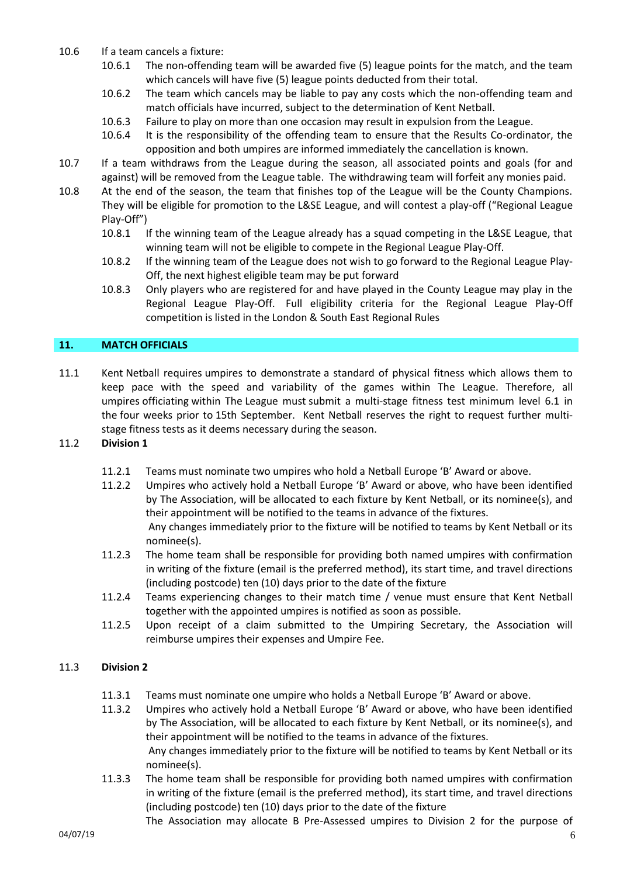- 10.6 If a team cancels a fixture:
	- 10.6.1 The non-offending team will be awarded five (5) league points for the match, and the team which cancels will have five (5) league points deducted from their total.
	- 10.6.2 The team which cancels may be liable to pay any costs which the non-offending team and match officials have incurred, subject to the determination of Kent Netball.
	- 10.6.3 Failure to play on more than one occasion may result in expulsion from the League.
	- 10.6.4 It is the responsibility of the offending team to ensure that the Results Co-ordinator, the opposition and both umpires are informed immediately the cancellation is known.
- 10.7 If a team withdraws from the League during the season, all associated points and goals (for and against) will be removed from the League table. The withdrawing team will forfeit any monies paid.
- 10.8 At the end of the season, the team that finishes top of the League will be the County Champions. They will be eligible for promotion to the L&SE League, and will contest a play-off ("Regional League Play-Off")
	- 10.8.1 If the winning team of the League already has a squad competing in the L&SE League, that winning team will not be eligible to compete in the Regional League Play-Off.
	- 10.8.2 If the winning team of the League does not wish to go forward to the Regional League Play-Off, the next highest eligible team may be put forward
	- 10.8.3 Only players who are registered for and have played in the County League may play in the Regional League Play-Off. Full eligibility criteria for the Regional League Play-Off competition is listed in the London & South East Regional Rules

## **11. MATCH OFFICIALS**

11.1 Kent Netball requires umpires to demonstrate a standard of physical fitness which allows them to keep pace with the speed and variability of the games within The League. Therefore, all umpires officiating within The League must submit a multi-stage fitness test minimum level 6.1 in the four weeks prior to 15th September. Kent Netball reserves the right to request further multistage fitness tests as it deems necessary during the season.

## 11.2 **Division 1**

- 11.2.1 Teams must nominate two umpires who hold a Netball Europe 'B' Award or above.
- 11.2.2 Umpires who actively hold a Netball Europe 'B' Award or above, who have been identified by The Association, will be allocated to each fixture by Kent Netball, or its nominee(s), and their appointment will be notified to the teams in advance of the fixtures. Any changes immediately prior to the fixture will be notified to teams by Kent Netball or its nominee(s).
- 11.2.3 The home team shall be responsible for providing both named umpires with confirmation in writing of the fixture (email is the preferred method), its start time, and travel directions (including postcode) ten (10) days prior to the date of the fixture
- 11.2.4 Teams experiencing changes to their match time / venue must ensure that Kent Netball together with the appointed umpires is notified as soon as possible.
- 11.2.5 Upon receipt of a claim submitted to the Umpiring Secretary, the Association will reimburse umpires their expenses and Umpire Fee.

## 11.3 **Division 2**

- 11.3.1 Teams must nominate one umpire who holds a Netball Europe 'B' Award or above.
- 11.3.2 Umpires who actively hold a Netball Europe 'B' Award or above, who have been identified by The Association, will be allocated to each fixture by Kent Netball, or its nominee(s), and their appointment will be notified to the teams in advance of the fixtures. Any changes immediately prior to the fixture will be notified to teams by Kent Netball or its nominee(s).
- 11.3.3 The home team shall be responsible for providing both named umpires with confirmation in writing of the fixture (email is the preferred method), its start time, and travel directions (including postcode) ten (10) days prior to the date of the fixture